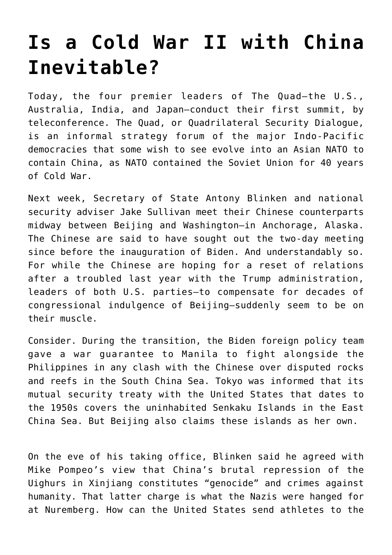## **[Is a Cold War II with China](https://intellectualtakeout.org/2021/03/is-a-cold-war-ii-with-china-inevitable/) [Inevitable?](https://intellectualtakeout.org/2021/03/is-a-cold-war-ii-with-china-inevitable/)**

Today, the four premier leaders of The Quad—the U.S., Australia, India, and Japan—conduct their first summit, by teleconference. The Quad, or Quadrilateral Security Dialogue, is an informal strategy forum of the major Indo-Pacific democracies that some wish to see evolve into an Asian NATO to contain China, as NATO contained the Soviet Union for 40 years of Cold War.

Next week, Secretary of State Antony Blinken and national security adviser Jake Sullivan meet their Chinese counterparts midway between Beijing and Washington—in Anchorage, Alaska. The Chinese are said to have sought out the two-day meeting since before the inauguration of Biden. And understandably so. For while the Chinese are hoping for a reset of relations after a troubled last year with the Trump administration, leaders of both U.S. parties—to compensate for decades of congressional indulgence of Beijing—suddenly seem to be on their muscle.

Consider. During the transition, the Biden foreign policy team gave a war guarantee to Manila to fight alongside the Philippines in any clash with the Chinese over disputed rocks and reefs in the South China Sea. Tokyo was informed that its mutual security treaty with the United States that dates to the 1950s covers the uninhabited Senkaku Islands in the East China Sea. But Beijing also claims these islands as her own.

On the eve of his taking office, Blinken said he agreed with Mike Pompeo's view that China's brutal repression of the Uighurs in Xinjiang constitutes "genocide" and crimes against humanity. That latter charge is what the Nazis were hanged for at Nuremberg. How can the United States send athletes to the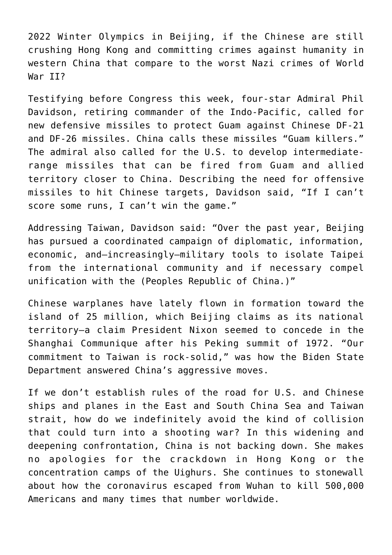2022 Winter Olympics in Beijing, if the Chinese are still crushing Hong Kong and committing crimes against humanity in western China that compare to the worst Nazi crimes of World War II?

Testifying before Congress this week, four-star Admiral Phil Davidson, retiring commander of the Indo-Pacific, called for new defensive missiles to protect Guam against Chinese DF-21 and DF-26 missiles. China calls these missiles "Guam killers." The admiral also called for the U.S. to develop intermediaterange missiles that can be fired from Guam and allied territory closer to China. Describing the need for offensive missiles to hit Chinese targets, Davidson said, "If I can't score some runs, I can't win the game."

Addressing Taiwan, Davidson said: "Over the past year, Beijing has pursued a coordinated campaign of diplomatic, information, economic, and—increasingly—military tools to isolate Taipei from the international community and if necessary compel unification with the (Peoples Republic of China.)"

Chinese warplanes have lately flown in formation toward the island of 25 million, which Beijing claims as its national territory—a claim President Nixon seemed to concede in the Shanghai Communique after his Peking summit of 1972. "Our commitment to Taiwan is rock-solid," was how the Biden State Department answered China's aggressive moves.

If we don't establish rules of the road for U.S. and Chinese ships and planes in the East and South China Sea and Taiwan strait, how do we indefinitely avoid the kind of collision that could turn into a shooting war? In this widening and deepening confrontation, China is not backing down. She makes no apologies for the crackdown in Hong Kong or the concentration camps of the Uighurs. She continues to stonewall about how the coronavirus escaped from Wuhan to kill 500,000 Americans and many times that number worldwide.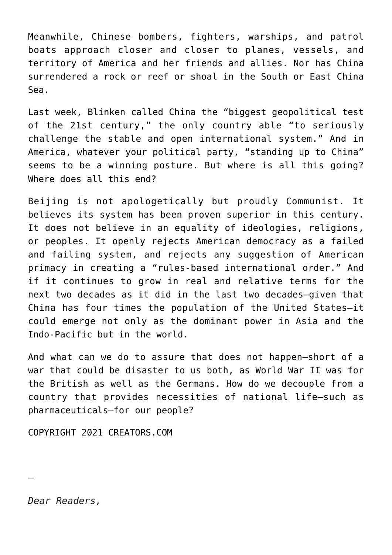Meanwhile, Chinese bombers, fighters, warships, and patrol boats approach closer and closer to planes, vessels, and territory of America and her friends and allies. Nor has China surrendered a rock or reef or shoal in the South or East China Sea.

Last week, Blinken called China the "biggest geopolitical test of the 21st century," the only country able "to seriously challenge the stable and open international system." And in America, whatever your political party, "standing up to China" seems to be a winning posture. But where is all this going? Where does all this end?

Beijing is not apologetically but proudly Communist. It believes its system has been proven superior in this century. It does not believe in an equality of ideologies, religions, or peoples. It openly rejects American democracy as a failed and failing system, and rejects any suggestion of American primacy in creating a "rules-based international order." And if it continues to grow in real and relative terms for the next two decades as it did in the last two decades—given that China has four times the population of the United States—it could emerge not only as the dominant power in Asia and the Indo-Pacific but in the world.

And what can we do to assure that does not happen—short of a war that could be disaster to us both, as World War II was for the British as well as the Germans. How do we decouple from a country that provides necessities of national life—such as pharmaceuticals—for our people?

COPYRIGHT 2021 CREATORS.COM

*Dear Readers,*

—